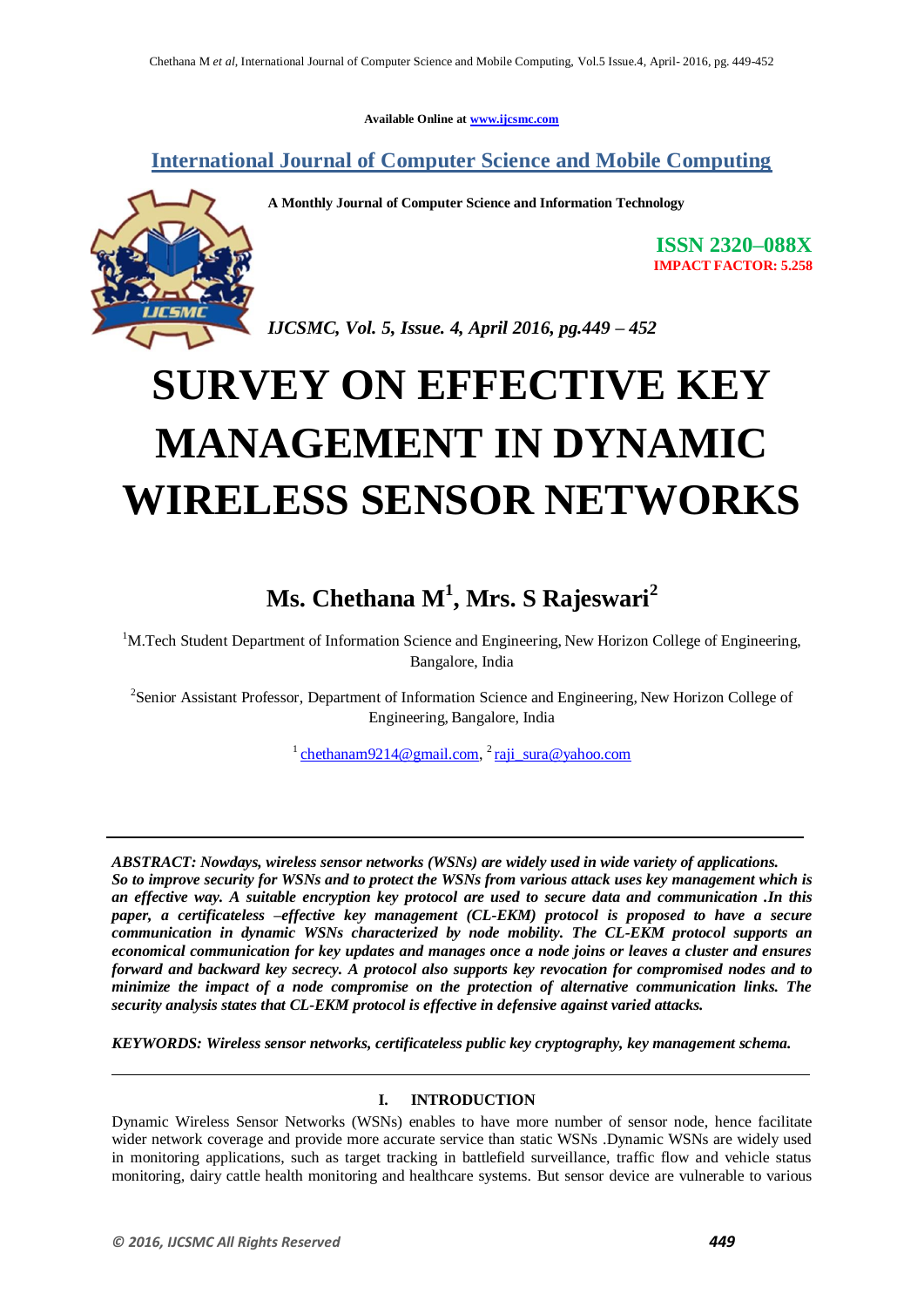**Available Online at www.ijcsmc.com**

**International Journal of Computer Science and Mobile Computing**



**A Monthly Journal of Computer Science and Information Technology**

**ISSN 2320–088X IMPACT FACTOR: 5.258**

*IJCSMC, Vol. 5, Issue. 4, April 2016, pg.449 – 452*

# **SURVEY ON EFFECTIVE KEY MANAGEMENT IN DYNAMIC WIRELESS SENSOR NETWORKS**

## **Ms. Chethana M<sup>1</sup> , Mrs. S Rajeswari<sup>2</sup>**

 $1<sup>1</sup>M.$  Tech Student Department of Information Science and Engineering, New Horizon College of Engineering, Bangalore, India

<sup>2</sup>Senior Assistant Professor, Department of Information Science and Engineering, New Horizon College of Engineering, Bangalore, India

 $\frac{1}{2}$ chethanam9214@gmail.com,  $\frac{2}{3}$ raji\_sura@yahoo.com

*ABSTRACT: Nowdays, wireless sensor networks (WSNs) are widely used in wide variety of applications. So to improve security for WSNs and to protect the WSNs from various attack uses key management which is an effective way. A suitable encryption key protocol are used to secure data and communication .In this paper, a certificateless –effective key management (CL-EKM) protocol is proposed to have a secure communication in dynamic WSNs characterized by node mobility. The CL-EKM protocol supports an economical communication for key updates and manages once a node joins or leaves a cluster and ensures forward and backward key secrecy. A protocol also supports key revocation for compromised nodes and to minimize the impact of a node compromise on the protection of alternative communication links. The security analysis states that CL-EKM protocol is effective in defensive against varied attacks.*

*KEYWORDS: Wireless sensor networks, certificateless public key cryptography, key management schema.*

### **I. INTRODUCTION**

Dynamic Wireless Sensor Networks (WSNs) enables to have more number of sensor node, hence facilitate wider network coverage and provide more accurate service than static WSNs .Dynamic WSNs are widely used in monitoring applications, such as target tracking in battlefield surveillance, traffic flow and vehicle status monitoring, dairy cattle health monitoring and healthcare systems. But sensor device are vulnerable to various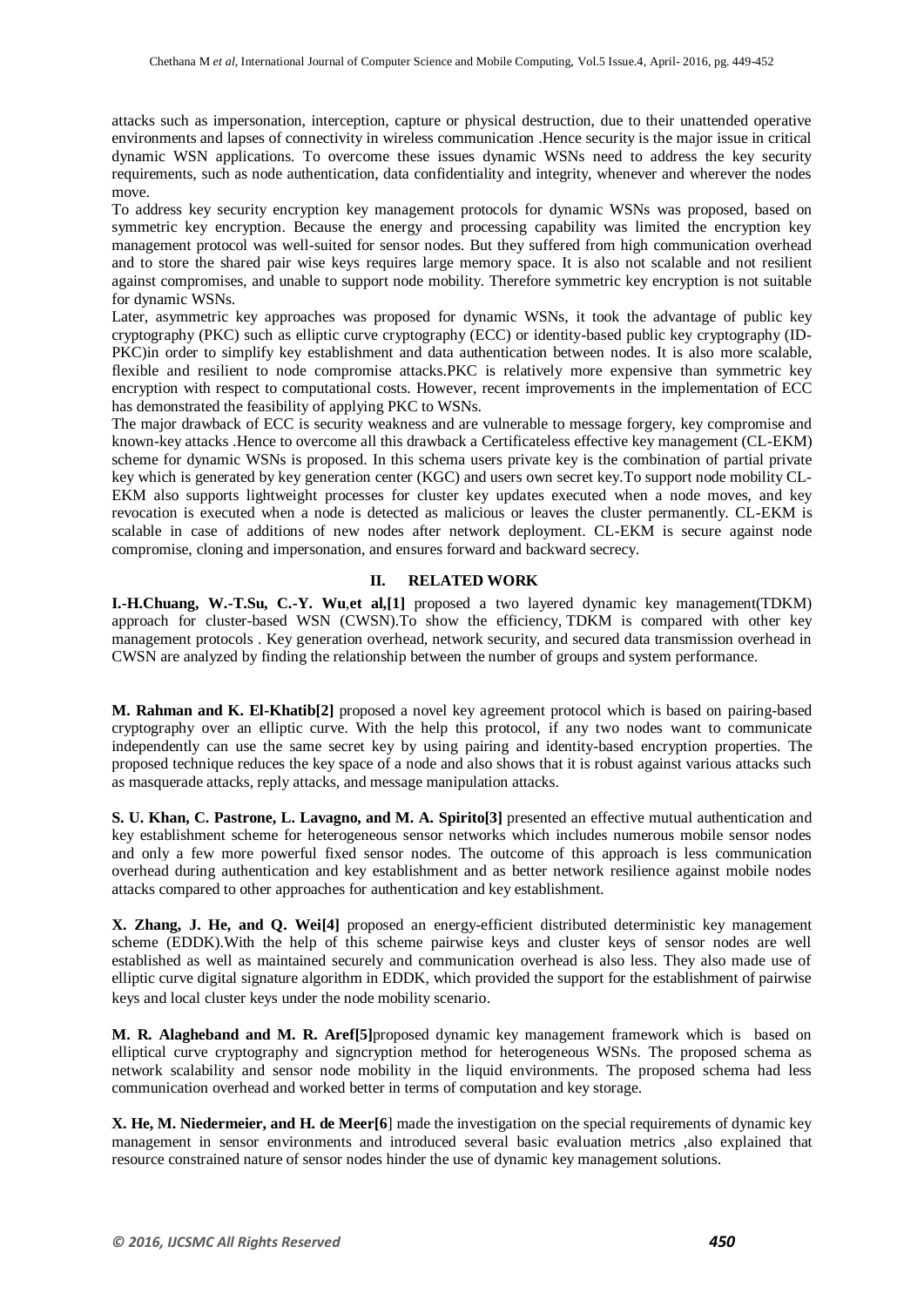attacks such as impersonation, interception, capture or physical destruction, due to their unattended operative environments and lapses of connectivity in wireless communication .Hence security is the major issue in critical dynamic WSN applications. To overcome these issues dynamic WSNs need to address the key security requirements, such as node authentication, data confidentiality and integrity, whenever and wherever the nodes move.

To address key security encryption key management protocols for dynamic WSNs was proposed, based on symmetric key encryption. Because the energy and processing capability was limited the encryption key management protocol was well-suited for sensor nodes. But they suffered from high communication overhead and to store the shared pair wise keys requires large memory space. It is also not scalable and not resilient against compromises, and unable to support node mobility. Therefore symmetric key encryption is not suitable for dynamic WSNs.

Later, asymmetric key approaches was proposed for dynamic WSNs, it took the advantage of public key cryptography (PKC) such as elliptic curve cryptography (ECC) or identity-based public key cryptography (ID-PKC)in order to simplify key establishment and data authentication between nodes. It is also more scalable, flexible and resilient to node compromise attacks.PKC is relatively more expensive than symmetric key encryption with respect to computational costs. However, recent improvements in the implementation of ECC has demonstrated the feasibility of applying PKC to WSNs.

The major drawback of ECC is security weakness and are vulnerable to message forgery, key compromise and known-key attacks .Hence to overcome all this drawback a Certificateless effective key management (CL-EKM) scheme for dynamic WSNs is proposed. In this schema users private key is the combination of partial private key which is generated by key generation center (KGC) and users own secret key.To support node mobility CL-EKM also supports lightweight processes for cluster key updates executed when a node moves, and key revocation is executed when a node is detected as malicious or leaves the cluster permanently. CL-EKM is scalable in case of additions of new nodes after network deployment. CL-EKM is secure against node compromise, cloning and impersonation, and ensures forward and backward secrecy.

#### **II. RELATED WORK**

**I.-H.Chuang, W.-T.Su, C.-Y. Wu**,**et al,[1]** proposed a two layered dynamic key management(TDKM) approach for cluster-based WSN (CWSN).To show the efficiency, TDKM is compared with other key management protocols . Key generation overhead, network security, and secured data transmission overhead in CWSN are analyzed by finding the relationship between the number of groups and system performance.

**M. Rahman and K. El-Khatib[2]** proposed a novel key agreement protocol which is based on pairing-based cryptography over an elliptic curve. With the help this protocol, if any two nodes want to communicate independently can use the same secret key by using pairing and identity-based encryption properties. The proposed technique reduces the key space of a node and also shows that it is robust against various attacks such as masquerade attacks, reply attacks, and message manipulation attacks.

**S. U. Khan, C. Pastrone, L. Lavagno, and M. A. Spirito[3]** presented an effective mutual authentication and key establishment scheme for heterogeneous sensor networks which includes numerous mobile sensor nodes and only a few more powerful fixed sensor nodes. The outcome of this approach is less communication overhead during authentication and key establishment and as better network resilience against mobile nodes attacks compared to other approaches for authentication and key establishment.

**X. Zhang, J. He, and Q. Wei[4]** proposed an energy-efficient distributed deterministic key management scheme (EDDK).With the help of this scheme pairwise keys and cluster keys of sensor nodes are well established as well as maintained securely and communication overhead is also less. They also made use of elliptic curve digital signature algorithm in EDDK, which provided the support for the establishment of pairwise keys and local cluster keys under the node mobility scenario.

**M. R. Alagheband and M. R. Aref[5]**proposed dynamic key management framework which is based on elliptical curve cryptography and signcryption method for heterogeneous WSNs. The proposed schema as network scalability and sensor node mobility in the liquid environments. The proposed schema had less communication overhead and worked better in terms of computation and key storage.

**X. He, M. Niedermeier, and H. de Meer[6**] made the investigation on the special requirements of dynamic key management in sensor environments and introduced several basic evaluation metrics ,also explained that resource constrained nature of sensor nodes hinder the use of dynamic key management solutions.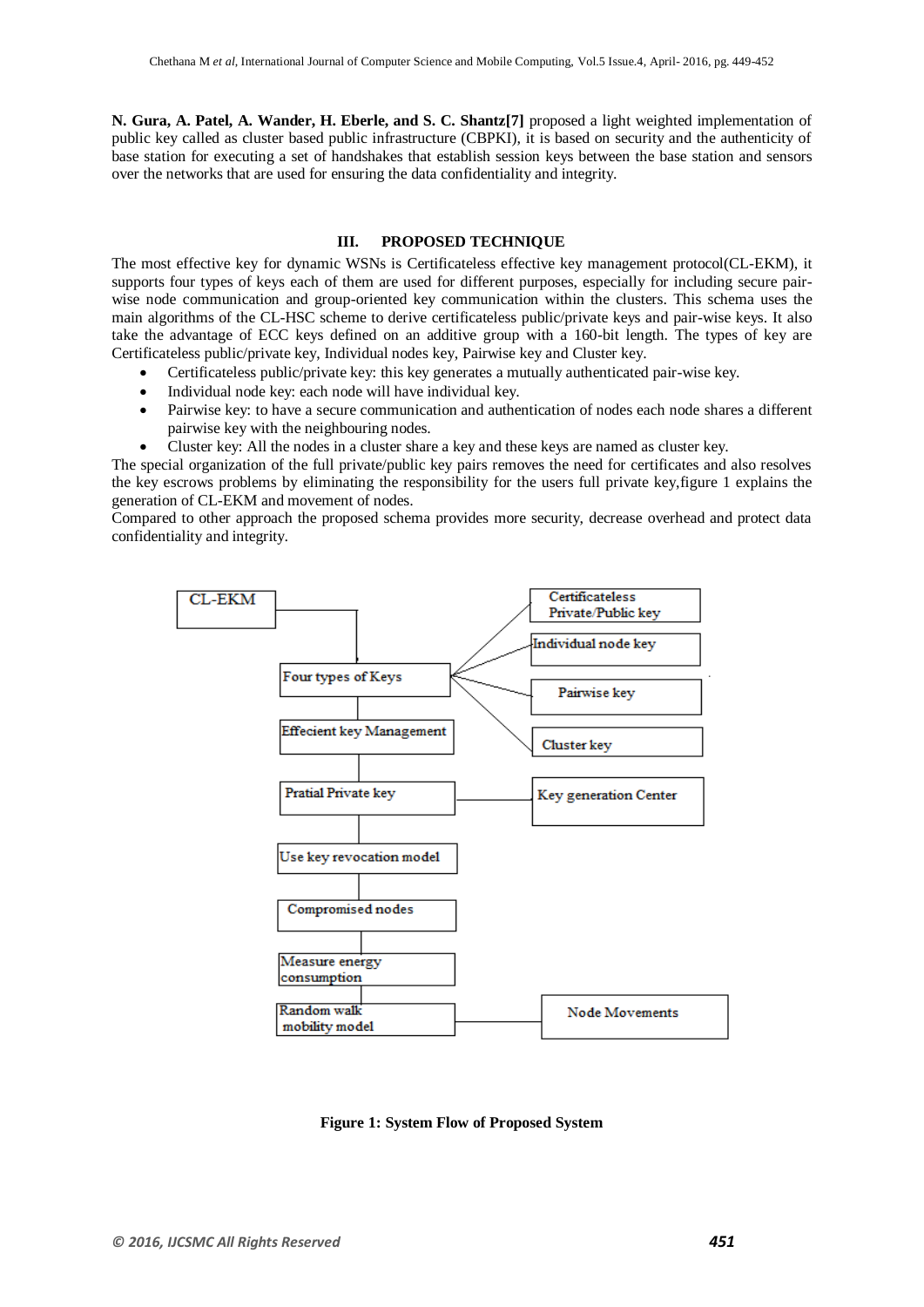**N. Gura, A. Patel, A. Wander, H. Eberle, and S. C. Shantz[7]** proposed a light weighted implementation of public key called as cluster based public infrastructure (CBPKI), it is based on security and the authenticity of base station for executing a set of handshakes that establish session keys between the base station and sensors over the networks that are used for ensuring the data confidentiality and integrity.

#### **III. PROPOSED TECHNIQUE**

The most effective key for dynamic WSNs is Certificateless effective key management protocol(CL-EKM), it supports four types of keys each of them are used for different purposes, especially for including secure pairwise node communication and group-oriented key communication within the clusters. This schema uses the main algorithms of the CL-HSC scheme to derive certificateless public/private keys and pair-wise keys. It also take the advantage of ECC keys defined on an additive group with a 160-bit length. The types of key are Certificateless public/private key, Individual nodes key, Pairwise key and Cluster key.

- Certificateless public/private key: this key generates a mutually authenticated pair-wise key.
- Individual node key: each node will have individual key.
- Pairwise key: to have a secure communication and authentication of nodes each node shares a different pairwise key with the neighbouring nodes.
- Cluster key: All the nodes in a cluster share a key and these keys are named as cluster key.

The special organization of the full private/public key pairs removes the need for certificates and also resolves the key escrows problems by eliminating the responsibility for the users full private key,figure 1 explains the generation of CL-EKM and movement of nodes.

Compared to other approach the proposed schema provides more security, decrease overhead and protect data confidentiality and integrity.



**Figure 1: System Flow of Proposed System**